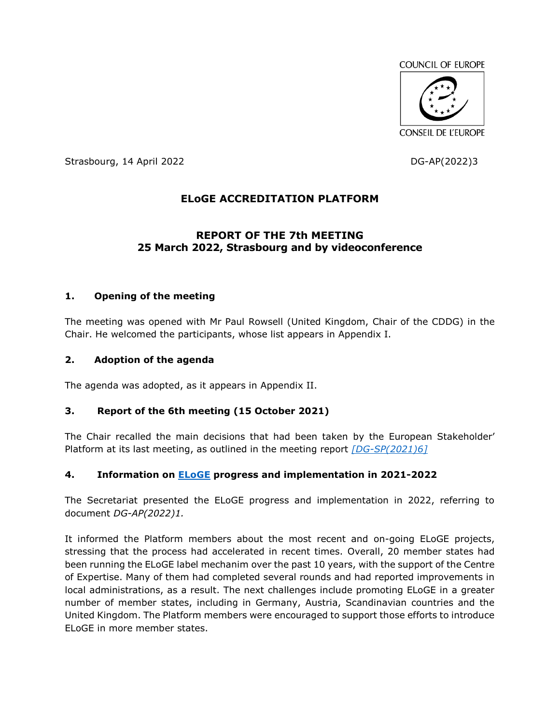

Strasbourg, 14 April 2022 **DG-AP(2022)3** 

# **ELoGE ACCREDITATION PLATFORM**

# **REPORT OF THE 7th MEETING 25 March 2022, Strasbourg and by videoconference**

# **1. Opening of the meeting**

The meeting was opened with Mr Paul Rowsell (United Kingdom, Chair of the CDDG) in the Chair. He welcomed the participants, whose list appears in Appendix I.

### **2. Adoption of the agenda**

The agenda was adopted, as it appears in Appendix II.

# **3. Report of the 6th meeting (15 October 2021)**

The Chair recalled the main decisions that had been taken by the European Stakeholder' Platform at its last meeting, as outlined in the meeting report *[\[DG-SP\(2021\)6\]](https://rm.coe.int/dg-sp-2021-6e-report-of-the-6th-meeting-2779-7990-9380-1/1680a467f7)*

# **4. Information on [ELoGE](https://www.coe.int/en/web/good-governance/eloge) progress and implementation in 2021-2022**

The Secretariat presented the ELoGE progress and implementation in 2022, referring to document *DG-AP(2022)1.*

It informed the Platform members about the most recent and on-going ELoGE projects, stressing that the process had accelerated in recent times. Overall, 20 member states had been running the ELoGE label mechanim over the past 10 years, with the support of the Centre of Expertise. Many of them had completed several rounds and had reported improvements in local administrations, as a result. The next challenges include promoting ELoGE in a greater number of member states, including in Germany, Austria, Scandinavian countries and the United Kingdom. The Platform members were encouraged to support those efforts to introduce ELoGE in more member states.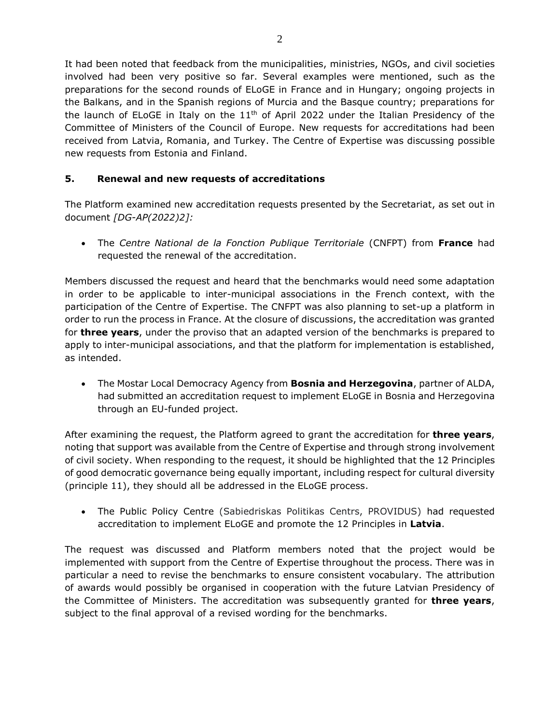It had been noted that feedback from the municipalities, ministries, NGOs, and civil societies involved had been very positive so far. Several examples were mentioned, such as the preparations for the second rounds of ELoGE in France and in Hungary; ongoing projects in the Balkans, and in the Spanish regions of Murcia and the Basque country; preparations for the launch of ELoGE in Italy on the  $11<sup>th</sup>$  of April 2022 under the Italian Presidency of the Committee of Ministers of the Council of Europe. New requests for accreditations had been received from Latvia, Romania, and Turkey. The Centre of Expertise was discussing possible new requests from Estonia and Finland.

# **5. Renewal and new requests of accreditations**

The Platform examined new accreditation requests presented by the Secretariat, as set out in document *[DG-AP(2022)2]:*

 The *Centre National de la Fonction Publique Territoriale* (CNFPT) from **France** had requested the renewal of the accreditation.

Members discussed the request and heard that the benchmarks would need some adaptation in order to be applicable to inter-municipal associations in the French context, with the participation of the Centre of Expertise. The CNFPT was also planning to set-up a platform in order to run the process in France. At the closure of discussions, the accreditation was granted for **three years**, under the proviso that an adapted version of the benchmarks is prepared to apply to inter-municipal associations, and that the platform for implementation is established, as intended.

 The Mostar Local Democracy Agency from **Bosnia and Herzegovina**, partner of ALDA, had submitted an accreditation request to implement ELoGE in Bosnia and Herzegovina through an EU-funded project.

After examining the request, the Platform agreed to grant the accreditation for **three years**, noting that support was available from the Centre of Expertise and through strong involvement of civil society. When responding to the request, it should be highlighted that the 12 Principles of good democratic governance being equally important, including respect for cultural diversity (principle 11), they should all be addressed in the ELoGE process.

 The Public Policy Centre (Sabiedriskas Politikas Centrs, PROVIDUS) had requested accreditation to implement ELoGE and promote the 12 Principles in **Latvia**.

The request was discussed and Platform members noted that the project would be implemented with support from the Centre of Expertise throughout the process. There was in particular a need to revise the benchmarks to ensure consistent vocabulary. The attribution of awards would possibly be organised in cooperation with the future Latvian Presidency of the Committee of Ministers. The accreditation was subsequently granted for **three years**, subject to the final approval of a revised wording for the benchmarks.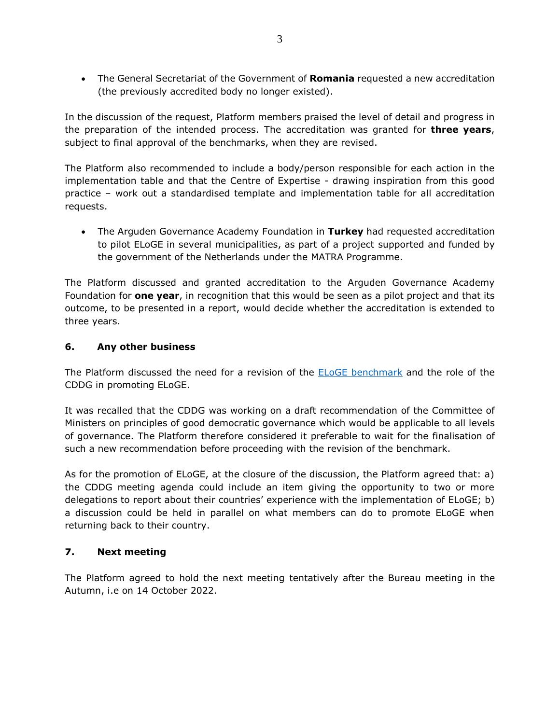The General Secretariat of the Government of **Romania** requested a new accreditation (the previously accredited body no longer existed).

In the discussion of the request, Platform members praised the level of detail and progress in the preparation of the intended process. The accreditation was granted for **three years**, subject to final approval of the benchmarks, when they are revised.

The Platform also recommended to include a body/person responsible for each action in the implementation table and that the Centre of Expertise - drawing inspiration from this good practice – work out a standardised template and implementation table for all accreditation requests.

 The Arguden Governance Academy Foundation in **Turkey** had requested accreditation to pilot ELoGE in several municipalities, as part of a project supported and funded by the government of the Netherlands under the MATRA Programme.

The Platform discussed and granted accreditation to the Arguden Governance Academy Foundation for **one year**, in recognition that this would be seen as a pilot project and that its outcome, to be presented in a report, would decide whether the accreditation is extended to three years.

# **6. Any other business**

The Platform discussed the need for a revision of the **ELOGE** [benchmark](http://rm.coe.int/eloge-benchmark-en-17-09/16808d71d4) and the role of the CDDG in promoting ELoGE.

It was recalled that the CDDG was working on a draft recommendation of the Committee of Ministers on principles of good democratic governance which would be applicable to all levels of governance. The Platform therefore considered it preferable to wait for the finalisation of such a new recommendation before proceeding with the revision of the benchmark.

As for the promotion of ELoGE, at the closure of the discussion, the Platform agreed that: a) the CDDG meeting agenda could include an item giving the opportunity to two or more delegations to report about their countries' experience with the implementation of ELoGE; b) a discussion could be held in parallel on what members can do to promote ELoGE when returning back to their country.

# **7. Next meeting**

The Platform agreed to hold the next meeting tentatively after the Bureau meeting in the Autumn, i.e on 14 October 2022.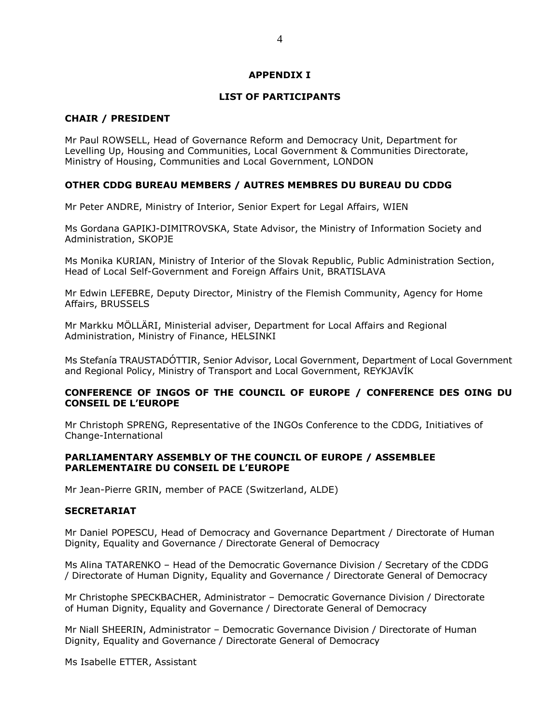#### **APPENDIX I**

#### **LIST OF PARTICIPANTS**

#### **CHAIR / PRESIDENT**

Mr Paul ROWSELL, Head of Governance Reform and Democracy Unit, Department for Levelling Up, Housing and Communities, Local Government & Communities Directorate, Ministry of Housing, Communities and Local Government, LONDON

#### **OTHER CDDG BUREAU MEMBERS / AUTRES MEMBRES DU BUREAU DU CDDG**

Mr Peter ANDRE, Ministry of Interior, Senior Expert for Legal Affairs, WIEN

Ms Gordana GAPIKJ-DIMITROVSKA, State Advisor, the Ministry of Information Society and Administration, SKOPJE

Ms Monika KURIAN, Ministry of Interior of the Slovak Republic, Public Administration Section, Head of Local Self-Government and Foreign Affairs Unit, BRATISLAVA

Mr Edwin LEFEBRE, Deputy Director, Ministry of the Flemish Community, Agency for Home Affairs, BRUSSELS

Mr Markku MÖLLÄRI, Ministerial adviser, Department for Local Affairs and Regional Administration, Ministry of Finance, HELSINKI

Ms Stefanía TRAUSTADÓTTIR, Senior Advisor, Local Government, Department of Local Government and Regional Policy, Ministry of Transport and Local Government, REYKJAVÍK

#### **CONFERENCE OF INGOS OF THE COUNCIL OF EUROPE / CONFERENCE DES OING DU CONSEIL DE L'EUROPE**

Mr Christoph SPRENG, Representative of the INGOs Conference to the CDDG, Initiatives of Change-International

#### **PARLIAMENTARY ASSEMBLY OF THE COUNCIL OF EUROPE / ASSEMBLEE PARLEMENTAIRE DU CONSEIL DE L'EUROPE**

Mr Jean-Pierre GRIN, member of PACE (Switzerland, ALDE)

#### **SECRETARIAT**

Mr Daniel POPESCU, Head of Democracy and Governance Department / Directorate of Human Dignity, Equality and Governance / Directorate General of Democracy

Ms Alina TATARENKO – Head of the Democratic Governance Division / Secretary of the CDDG / Directorate of Human Dignity, Equality and Governance / Directorate General of Democracy

Mr Christophe SPECKBACHER, Administrator – Democratic Governance Division / Directorate of Human Dignity, Equality and Governance / Directorate General of Democracy

Mr Niall SHEERIN, Administrator – Democratic Governance Division / Directorate of Human Dignity, Equality and Governance / Directorate General of Democracy

Ms Isabelle ETTER, Assistant